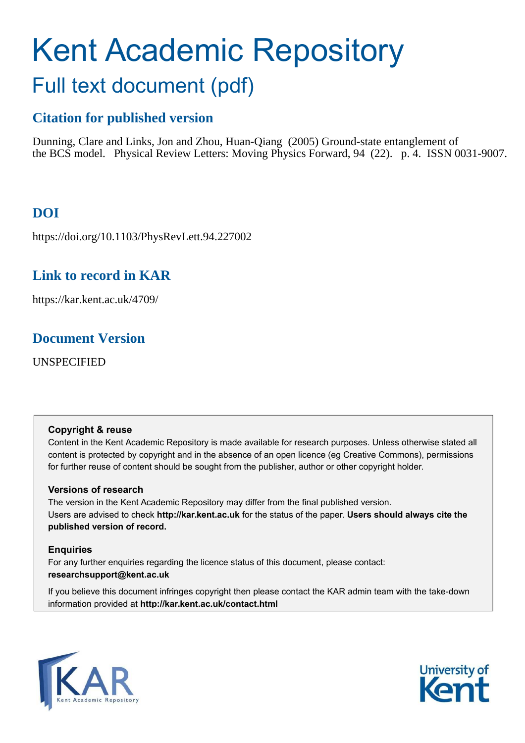# Kent Academic Repository Full text document (pdf)

## **Citation for published version**

Dunning, Clare and Links, Jon and Zhou, Huan-Qiang (2005) Ground-state entanglement of the BCS model. Physical Review Letters: Moving Physics Forward, 94 (22). p. 4. ISSN 0031-9007.

## **DOI**

https://doi.org/10.1103/PhysRevLett.94.227002

## **Link to record in KAR**

https://kar.kent.ac.uk/4709/

### **Document Version**

UNSPECIFIED

#### **Copyright & reuse**

Content in the Kent Academic Repository is made available for research purposes. Unless otherwise stated all content is protected by copyright and in the absence of an open licence (eg Creative Commons), permissions for further reuse of content should be sought from the publisher, author or other copyright holder.

#### **Versions of research**

The version in the Kent Academic Repository may differ from the final published version. Users are advised to check **http://kar.kent.ac.uk** for the status of the paper. **Users should always cite the published version of record.**

#### **Enquiries**

For any further enquiries regarding the licence status of this document, please contact: **researchsupport@kent.ac.uk**

If you believe this document infringes copyright then please contact the KAR admin team with the take-down information provided at **http://kar.kent.ac.uk/contact.html**



<span id="page-0-0"></span>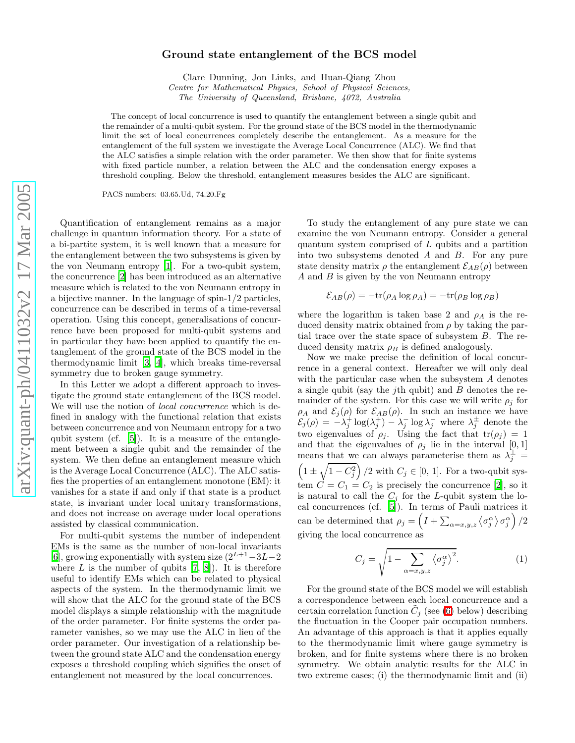#### Ground state entanglement of the BCS model

Clare Dunning, Jon Links, and Huan-Qiang Zhou Centre for Mathematical Physics, School of Physical Sciences,

The University of Queensland, Brisbane, 4072, Australia

The concept of local concurrence is used to quantify the entanglement between a single qubit and the remainder of a multi-qubit system. For the ground state of the BCS model in the thermodynamic limit the set of local concurrences completely describe the entanglement. As a measure for the entanglement of the full system we investigate the Average Local Concurrence (ALC). We find that the ALC satisfies a simple relation with the order parameter. We then show that for finite systems with fixed particle number, a relation between the ALC and the condensation energy exposes a threshold coupling. Below the threshold, entanglement measures besides the ALC are significant.

PACS numbers: 03.65.Ud, 74.20.Fg

<span id="page-1-3"></span>Quantification of entanglement remains as a major challenge in quantum information theory. For a state of a bi-partite system, it is well known that a measure for the entanglement between the two subsystems is given by the von Neumann entropy [\[1\]](#page-3-0). For a two-qubit system, the concurrence [\[2\]](#page-3-1) has been introduced as an alternative measure which is related to the von Neumann entropy in a bijective manner. In the language of spin-1/2 particles, concurrence can be described in terms of a time-reversal operation. Using this concept, generalisations of concurrence have been proposed for multi-qubit systems and in particular they have been applied to quantify the entanglement of the ground state of the BCS model in the thermodynamic limit [\[3,](#page-3-2) [4](#page-3-3)], which breaks time-reversal symmetry due to broken gauge symmetry.

In this Letter we adopt a different approach to investigate the ground state entanglement of the BCS model. We will use the notion of *local concurrence* which is defined in analogy with the functional relation that exists between concurrence and von Neumann entropy for a two qubit system (cf. [\[5](#page-3-4)]). It is a measure of the entanglement between a single qubit and the remainder of the system. We then define an entanglement measure which is the Average Local Concurrence (ALC). The ALC satisfies the properties of an entanglement monotone (EM): it vanishes for a state if and only if that state is a product state, is invariant under local unitary transformations, and does not increase on average under local operations assisted by classical communication.

For multi-qubit systems the number of independent EMs is the same as the number of non-local invariants [\[6\]](#page-3-5), growing exponentially with system size  $(2^{L+1} - 3L - 2)$ where  $L$  is the number of qubits  $[7, 8]$  $[7, 8]$  $[7, 8]$ . It is therefore useful to identify EMs which can be related to physical aspects of the system. In the thermodynamic limit we will show that the ALC for the ground state of the BCS model displays a simple relationship with the magnitude of the order parameter. For finite systems the order parameter vanishes, so we may use the ALC in lieu of the order parameter. Our investigation of a relationship between the ground state ALC and the condensation energy exposes a threshold coupling which signifies the onset of entanglement not measured by the local concurrences.

<span id="page-1-2"></span><span id="page-1-0"></span>To study the entanglement of any pure state we can examine the von Neumann entropy. Consider a general quantum system comprised of L qubits and a partition into two subsystems denoted A and B. For any pure state density matrix  $\rho$  the entanglement  $\mathcal{E}_{AB}(\rho)$  between A and B is given by the von Neumann entropy

$$
\mathcal{E}_{AB}(\rho) = -\text{tr}(\rho_A \log \rho_A) = -\text{tr}(\rho_B \log \rho_B)
$$

where the logarithm is taken base 2 and  $\rho_A$  is the reduced density matrix obtained from  $\rho$  by taking the partial trace over the state space of subsystem B. The reduced density matrix  $\rho_B$  is defined analogously.

Now we make precise the definition of local concurrence in a general context. Hereafter we will only deal with the particular case when the subsystem A denotes a single qubit (say the jth qubit) and B denotes the remainder of the system. For this case we will write  $\rho_j$  for  $\rho_A$  and  $\mathcal{E}_j(\rho)$  for  $\mathcal{E}_{AB}(\rho)$ . In such an instance we have  $\mathcal{E}_j(\rho) = -\lambda_j^+ \log(\lambda_j^+) - \lambda_j^- \log \lambda_j^-$  where  $\lambda_j^{\pm}$  denote the two eigenvalues of  $\rho_j$ . Using the fact that  $tr(\rho_j) = 1$ and that the eigenvalues of  $\rho_j$  lie in the interval  $[0,1]$ means that we can always parameterise them as  $\lambda_j^{\pm}$  =  $\left(1 \pm \sqrt{1 - C_j^2}\right)/2$  with  $C_j \in [0, 1]$ . For a two-qubit system  $\vec{C} = C_1 = C_2$  is precisely the concurrence [\[2\]](#page-3-1), so it is natural to call the  $C_j$  for the L-qubit system the local concurrences (cf. [\[5](#page-3-4)]). In terms of Pauli matrices it can be determined that  $\rho_j = \left(I + \sum_{\alpha=x,y,z} \langle \sigma_j^{\alpha} \rangle \sigma_j^{\alpha} \right)/2$ giving the local concurrence as

$$
C_j = \sqrt{1 - \sum_{\alpha = x, y, z} \langle \sigma_j^{\alpha} \rangle^2}.
$$
 (1)

<span id="page-1-1"></span>For the ground state of the BCS model we will establish a correspondence between each local concurrence and a certain correlation function  $\tilde{C}_j$  (see [\(6\)](#page-2-0) below) describing the fluctuation in the Cooper pair occupation numbers. An advantage of this approach is that it applies equally to the thermodynamic limit where gauge symmetry is broken, and for finite systems where there is no broken symmetry. We obtain analytic results for the ALC in two extreme cases; (i) the thermodynamic limit and (ii)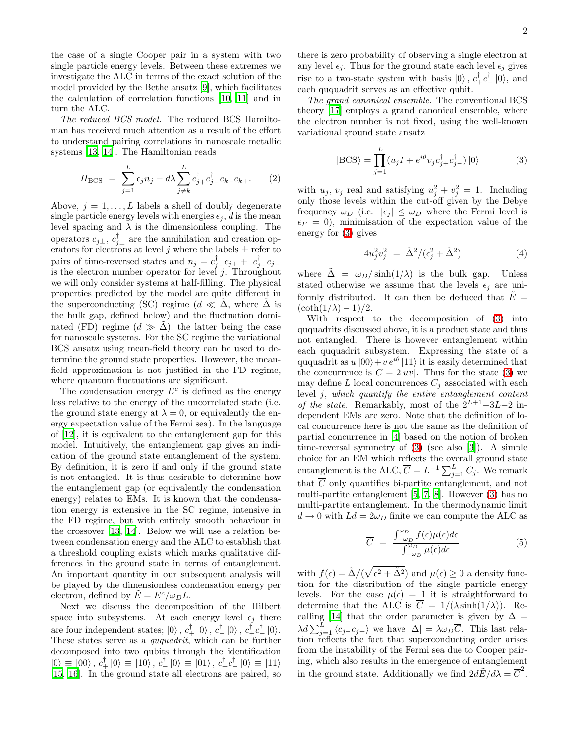the case of a single Cooper pair in a system with two single particle energy levels. Between these extremes we investigate the ALC in terms of the exact solution of the model provided by the Bethe ansatz [\[9\]](#page-3-8), which facilitates the calculation of correlation functions [\[10](#page-3-9), [11\]](#page-3-10) and in turn the ALC.

The reduced BCS model. The reduced BCS Hamiltonian has received much attention as a result of the effort to understand pairing correlations in nanoscale metallic systems [\[13,](#page-4-0) [14\]](#page-4-1). The Hamiltonian reads

$$
H_{\rm BCS} = \sum_{j=1}^{L} \epsilon_j n_j - d\lambda \sum_{j \neq k}^{L} c_{j+}^{\dagger} c_{j-}^{\dagger} c_{k-}^{\dagger} c_{k+}.
$$
 (2)

Above,  $j = 1, \ldots, L$  labels a shell of doubly degenerate single particle energy levels with energies  $\epsilon_i$ , d is the mean level spacing and  $\lambda$  is the dimensionless coupling. The operators  $c_{j\pm}$ ,  $c_{j\pm}^{\dagger}$  are the annihilation and creation operators for electrons at level j where the labels  $\pm$  refer to pairs of time-reversed states and  $n_j = c_{j+}^{\dagger} c_{j+} + c_{j-}^{\dagger} c_{j-}$ is the electron number operator for level  $j$ . Throughout we will only consider systems at half-filling. The physical properties predicted by the model are quite different in the superconducting (SC) regime ( $d \ll \Delta$ , where  $\Delta$  is the bulk gap, defined below) and the fluctuation dominated (FD) regime  $(d \gg \tilde{\Delta})$ , the latter being the case for nanoscale systems. For the SC regime the variational BCS ansatz using mean-field theory can be used to determine the ground state properties. However, the meanfield approximation is not justified in the FD regime, where quantum fluctuations are significant.

<span id="page-2-0"></span>The condensation energy  $E^c$  is defined as the energy loss relative to the energy of the uncorrelated state (i.e. the ground state energy at  $\lambda = 0$ , or equivalently the energy expectation value of the Fermi sea). In the language of [\[12\]](#page-4-2), it is equivalent to the entanglement gap for this model. Intuitively, the entanglement gap gives an indication of the ground state entanglement of the system. By definition, it is zero if and only if the ground state is not entangled. It is thus desirable to determine how the entanglement gap (or equivalently the condensation energy) relates to EMs. It is known that the condensation energy is extensive in the SC regime, intensive in the FD regime, but with entirely smooth behaviour in the crossover [\[13,](#page-4-0) [14\]](#page-4-1). Below we will use a relation between condensation energy and the ALC to establish that a threshold coupling exists which marks qualitative differences in the ground state in terms of entanglement. An important quantity in our subsequent analysis will be played by the dimensionless condensation energy per electron, defined by  $E = E^c/\omega_D L$ .

Next we discuss the decomposition of the Hilbert space into subsystems. At each energy level  $\epsilon_j$  there are four independent states;  $|0\rangle$ ,  $c_+^{\dagger} |0\rangle$ ,  $c_-^{\dagger} |0\rangle$ ,  $c_+^{\dagger} c_-^{\dagger} |0\rangle$ . These states serve as a *ququadrit*, which can be further decomposed into two qubits through the identification  $|0\rangle \equiv |00\rangle$ ,  $c_{+}^{\dagger}|0\rangle \equiv |10\rangle$ ,  $c_{-}^{\dagger}|0\rangle \equiv |01\rangle$ ,  $c_{+}^{\dagger}c_{-}^{\dagger}|0\rangle \equiv |11\rangle$ [\[15,](#page-4-3) [16](#page-4-4)]. In the ground state all electrons are paired, so

there is zero probability of observing a single electron at any level  $\epsilon_j$ . Thus for the ground state each level  $\epsilon_j$  gives rise to a two-state system with basis  $|0\rangle$ ,  $c^{\dagger}_{+}c^{\dagger}_{-}|0\rangle$ , and each ququadrit serves as an effective qubit.

The grand canonical ensemble. The conventional BCS theory [\[17\]](#page-4-5) employs a grand canonical ensemble, where the electron number is not fixed, using the well-known variational ground state ansatz

$$
|\text{BCS}\rangle = \prod_{j=1}^{L} (u_j I + e^{i\theta} v_j c_{j+}^{\dagger} c_{j-}^{\dagger}) |0\rangle
$$
 (3)

with  $u_j$ ,  $v_j$  real and satisfying  $u_j^2 + v_j^2 = 1$ . Including only those levels within the cut-off given by the Debye frequency  $\omega_D$  (i.e.  $|\epsilon_j| \leq \omega_D$  where the Fermi level is  $\epsilon_F = 0$ , minimisation of the expectation value of the energy for [\(3\)](#page-1-0) gives

$$
4u_j^2v_j^2 = \tilde{\Delta}^2/(\epsilon_j^2 + \tilde{\Delta}^2)
$$
 (4)

where  $\Delta = \omega_D / \sinh(1/\lambda)$  is the bulk gap. Unless stated otherwise we assume that the levels  $\epsilon_i$  are uniformly distributed. It can then be deduced that  $E =$  $(\coth(1/\lambda) - 1)/2$ .

<span id="page-2-1"></span>With respect to the decomposition of [\(3\)](#page-1-0) into ququadrits discussed above, it is a product state and thus not entangled. There is however entanglement within each ququadrit subsystem. Expressing the state of a ququadrit as  $u |00\rangle + v e^{i\theta} |11\rangle$  it is easily determined that the concurrence is  $C = 2|uv|$ . Thus for the state [\(3\)](#page-1-0) we may define L local concurrences  $C_j$  associated with each level j, which quantify the entire entanglement content of the state. Remarkably, most of the  $2^{L+1}-3L-2$  independent EMs are zero. Note that the definition of local concurrence here is not the same as the definition of partial concurrence in [\[4](#page-3-3)] based on the notion of broken time-reversal symmetry of [\(3\)](#page-1-0) (see also [\[3](#page-3-2)]). A simple choice for an EM which reflects the overall ground state entanglement is the ALC,  $\overline{C} = L^{-1} \sum_{j=1}^{L} C_j$ . We remark that C only quantifies bi-partite entanglement, and not multi-partite entanglement [\[5](#page-3-4), [7](#page-3-6), [8\]](#page-3-7). However [\(3\)](#page-1-0) has no multi-partite entanglement. In the thermodynamic limit  $d \rightarrow 0$  with  $Ld = 2\omega_D$  finite we can compute the ALC as

$$
\overline{C} = \frac{\int_{-\omega_D}^{\omega_D} f(\epsilon) \mu(\epsilon) d\epsilon}{\int_{-\omega_D}^{\omega_D} \mu(\epsilon) d\epsilon} \tag{5}
$$

<span id="page-2-2"></span>with  $f(\epsilon) = \tilde{\Delta}/(\sqrt{\epsilon^2 + \tilde{\Delta}^2})$  and  $\mu(\epsilon) \ge 0$  a density function for the distribution of the single particle energy levels. For the case  $\mu(\epsilon) = 1$  it is straightforward to determine that the ALC is  $\overline{C} = 1/(\lambda \sinh(1/\lambda))$ . Re-calling [\[14\]](#page-4-1) that the order parameter is given by  $\Delta =$  $\lambda d \sum_{j=1}^{L} \langle c_j \rangle c_{j+1}$  we have  $|\Delta| = \lambda \omega_D \overline{C}$ . This last relation reflects the fact that superconducting order arises from the instability of the Fermi sea due to Cooper pairing, which also results in the emergence of entanglement in the ground state. Additionally we find  $2d\tilde{E}/d\lambda = \overline{C}^2$ .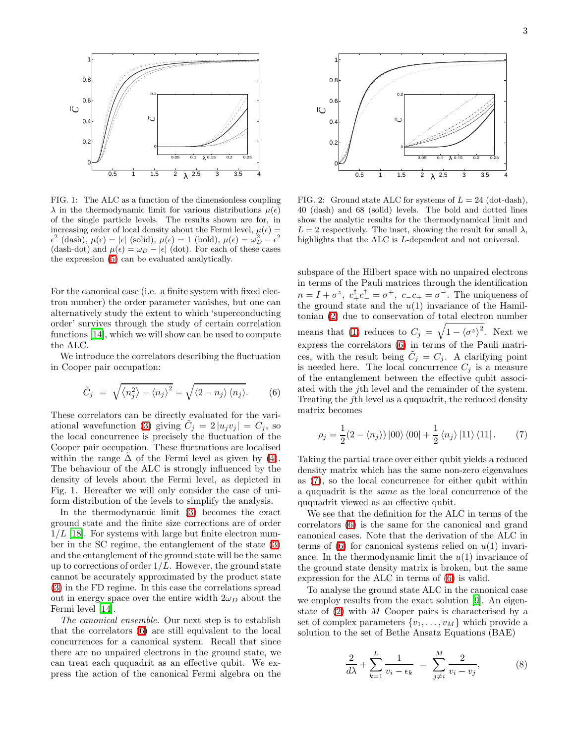

FIG. 1: The ALC as a function of the dimensionless coupling  $\lambda$  in the thermodynamic limit for various distributions  $\mu(\epsilon)$ of the single particle levels. The results shown are for, in increasing order of local density about the Fermi level,  $\mu(\epsilon)$  =  $\epsilon^2$  (dash),  $\mu(\epsilon) = |\epsilon|$  (solid),  $\mu(\epsilon) = 1$  (bold),  $\mu(\epsilon) = \omega_D^2 - \epsilon^2$ (dash-dot) and  $\mu(\epsilon) = \omega_D - |\epsilon|$  (dot). For each of these cases the expression [\(5\)](#page-1-1) can be evaluated analytically.

For the canonical case (i.e. a finite system with fixed electron number) the order parameter vanishes, but one can alternatively study the extent to which 'superconducting order' survives through the study of certain correlation functions [\[14\]](#page-4-1), which we will show can be used to compute the ALC.

We introduce the correlators describing the fluctuation in Cooper pair occupation:

$$
\tilde{C}_j = \sqrt{\langle n_j^2 \rangle - \langle n_j \rangle^2} = \sqrt{\langle 2 - n_j \rangle \langle n_j \rangle}.
$$
 (6)

These correlators can be directly evaluated for the vari-ational wavefunction [\(3\)](#page-1-0) giving  $C_j = 2 |u_j v_j| = C_j$ , so the local concurrence is precisely the fluctuation of the Cooper pair occupation. These fluctuations are localised within the range  $\Delta$  of the Fermi level as given by [\(4\)](#page-1-2). The behaviour of the ALC is strongly influenced by the density of levels about the Fermi level, as depicted in Fig. 1. Hereafter we will only consider the case of uniform distribution of the levels to simplify the analysis.

In the thermodynamic limit [\(3\)](#page-1-0) becomes the exact ground state and the finite size corrections are of order  $1/L$  [\[18\]](#page-4-6). For systems with large but finite electron number in the SC regime, the entanglement of the state [\(3\)](#page-1-0) and the entanglement of the ground state will be the same up to corrections of order  $1/L$ . However, the ground state cannot be accurately approximated by the product state [\(3\)](#page-1-0) in the FD regime. In this case the correlations spread out in energy space over the entire width  $2\omega_D$  about the Fermi level [\[14\]](#page-4-1).

<span id="page-3-5"></span><span id="page-3-4"></span><span id="page-3-3"></span><span id="page-3-2"></span><span id="page-3-1"></span><span id="page-3-0"></span>The canonical ensemble. Our next step is to establish that the correlators [\(6\)](#page-2-0) are still equivalent to the local concurrences for a canonical system. Recall that since there are no unpaired electrons in the ground state, we can treat each ququadrit as an effective qubit. We express the action of the canonical Fermi algebra on the



FIG. 2: Ground state ALC for systems of  $L = 24$  (dot-dash), 40 (dash) and 68 (solid) levels. The bold and dotted lines show the analytic results for the thermodynamical limit and  $L = 2$  respectively. The inset, showing the result for small  $\lambda$ , highlights that the ALC is L-dependent and not universal.

subspace of the Hilbert space with no unpaired electrons in terms of the Pauli matrices through the identification  $n = I + \sigma^z$ ,  $c_+^{\dagger} c_-^{\dagger} = \sigma^+$ ,  $c_- c_+ = \sigma^-$ . The uniqueness of the ground state and the  $u(1)$  invariance of the Hamiltonian [\(2\)](#page-1-3) due to conservation of total electron number means that [\(1\)](#page-0-0) reduces to  $C_j = \sqrt{1 - \langle \sigma^z \rangle^2}$ . Next we express the correlators [\(6\)](#page-2-0) in terms of the Pauli matrices, with the result being  $\tilde{C}_j = C_j$ . A clarifying point is needed here. The local concurrence  $C_i$  is a measure of the entanglement between the effective qubit associated with the jth level and the remainder of the system. Treating the jth level as a ququadrit, the reduced density matrix becomes

$$
\rho_j = \frac{1}{2} (2 - \langle n_j \rangle) |00\rangle \langle 00| + \frac{1}{2} \langle n_j \rangle |11\rangle \langle 11|.
$$
 (7)

Taking the partial trace over either qubit yields a reduced density matrix which has the same non-zero eigenvalues as [\(7\)](#page-2-1), so the local concurrence for either qubit within a ququadrit is the same as the local concurrence of the ququadrit viewed as an effective qubit.

We see that the definition for the ALC in terms of the correlators [\(6\)](#page-2-0) is the same for the canonical and grand canonical cases. Note that the derivation of the ALC in terms of  $(6)$  for canonical systems relied on  $u(1)$  invariance. In the thermodynamic limit the  $u(1)$  invariance of the ground state density matrix is broken, but the same expression for the ALC in terms of [\(6\)](#page-2-0) is valid.

<span id="page-3-10"></span><span id="page-3-9"></span><span id="page-3-8"></span><span id="page-3-7"></span><span id="page-3-6"></span>To analyse the ground state ALC in the canonical case we employ results from the exact solution [\[9](#page-3-8)]. An eigenstate of [\(2\)](#page-1-3) with M Cooper pairs is characterised by a set of complex parameters  $\{v_1, \ldots, v_M\}$  which provide a solution to the set of Bethe Ansatz Equations (BAE)

$$
\frac{2}{d\lambda} + \sum_{k=1}^{L} \frac{1}{v_i - \epsilon_k} = \sum_{j \neq i}^{M} \frac{2}{v_i - v_j},
$$
 (8)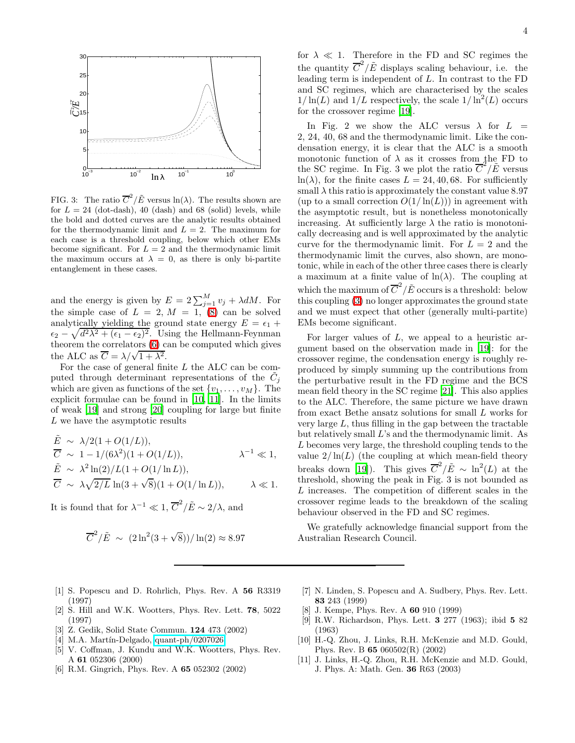<span id="page-4-4"></span><span id="page-4-3"></span><span id="page-4-2"></span><span id="page-4-1"></span><span id="page-4-0"></span>

<span id="page-4-5"></span>FIG. 3: The ratio  $\overline{C}^2/\tilde{E}$  versus  $\ln(\lambda)$ . The results shown are for  $L = 24$  (dot-dash), 40 (dash) and 68 (solid) levels, while the bold and dotted curves are the analytic results obtained for the thermodynamic limit and  $L = 2$ . The maximum for each case is a threshold coupling, below which other EMs become significant. For  $L = 2$  and the thermodynamic limit the maximum occurs at  $\lambda = 0$ , as there is only bi-partite entanglement in these cases.

and the energy is given by  $E = 2\sum_{j=1}^{M} v_j + \lambda dM$ . For the simple case of  $L = 2, M = 1, (8)$  $L = 2, M = 1, (8)$  can be solved analytically yielding the ground state energy  $E = \epsilon_1 +$  $\epsilon_2 - \sqrt{d^2\lambda^2 + (\epsilon_1 - \epsilon_2)^2}$ . Using the Hellmann-Feynman theorem the correlators [\(6\)](#page-2-0) can be computed which gives the ALC as  $\overline{C} = \lambda/\sqrt{1 + \lambda^2}$ .

For the case of general finite L the ALC can be computed through determinant representations of the  $\tilde{C}_j$ which are given as functions of the set  $\{v_1, \ldots, v_M\}$ . The explicit formulae can be found in [\[10,](#page-3-9) [11](#page-3-10)]. In the limits of weak [\[19](#page-4-7)] and strong [\[20\]](#page-4-8) coupling for large but finite L we have the asymptotic results

$$
\tilde{E} \sim \lambda/2(1 + O(1/L)),
$$
\n
$$
\overline{C} \sim 1 - 1/(6\lambda^2)(1 + O(1/L)), \qquad \lambda^{-1} \ll 1,
$$
\n
$$
\tilde{E} \sim \lambda^2 \ln(2)/L(1 + O(1/\ln L)),
$$
\n
$$
\overline{C} \sim \lambda \sqrt{2/L} \ln(3 + \sqrt{8})(1 + O(1/\ln L)), \qquad \lambda \ll 1.
$$

It is found that for  $\lambda^{-1} \ll 1$ ,  $\overline{C}^2/\tilde{E} \sim 2/\lambda$ , and

$$
\overline{C}^2/\tilde{E} \sim (2\ln^2(3+\sqrt{8}))/\ln(2) \approx 8.97
$$

<span id="page-4-8"></span><span id="page-4-7"></span><span id="page-4-6"></span>for  $\lambda \ll 1$ . Therefore in the FD and SC regimes the the quantity  $\overline{C}^2/\tilde{E}$  displays scaling behaviour, i.e. the leading term is independent of L. In contrast to the FD and SC regimes, which are characterised by the scales  $1/\ln(L)$  and  $1/L$  respectively, the scale  $1/\ln^2(L)$  occurs for the crossover regime [\[19\]](#page-4-7).

<span id="page-4-9"></span>In Fig. 2 we show the ALC versus  $\lambda$  for  $L =$ 2, 24, 40, 68 and the thermodynamic limit. Like the condensation energy, it is clear that the ALC is a smooth monotonic function of  $\lambda$  as it crosses from the FD to the SC regime. In Fig. 3 we plot the ratio  $\overline{C}^2/\tilde{E}$  versus  $ln(\lambda)$ , for the finite cases  $L = 24, 40, 68$ . For sufficiently small  $\lambda$  this ratio is approximately the constant value 8.97 (up to a small correction  $O(1/\ln(L))$ ) in agreement with the asymptotic result, but is nonetheless monotonically increasing. At sufficiently large  $\lambda$  the ratio is monotonically decreasing and is well approximated by the analytic curve for the thermodynamic limit. For  $L = 2$  and the thermodynamic limit the curves, also shown, are monotonic, while in each of the other three cases there is clearly a maximum at a finite value of  $\ln(\lambda)$ . The coupling at which the maximum of  $\overline{C}^2/\tilde{E}$  occurs is a threshold: below this coupling [\(3\)](#page-1-0) no longer approximates the ground state and we must expect that other (generally multi-partite) EMs become significant.

For larger values of  $L$ , we appeal to a heuristic argument based on the observation made in [\[19\]](#page-4-7): for the crossover regime, the condensation energy is roughly reproduced by simply summing up the contributions from the perturbative result in the FD regime and the BCS mean field theory in the SC regime [\[21](#page-4-9)]. This also applies to the ALC. Therefore, the same picture we have drawn from exact Bethe ansatz solutions for small L works for very large  $L$ , thus filling in the gap between the tractable but relatively small L's and the thermodynamic limit. As L becomes very large, the threshold coupling tends to the value  $2/\ln(L)$  (the coupling at which mean-field theory breaks down [\[19](#page-4-7)]). This gives  $\overline{C}^2/\tilde{E} \sim \ln^2(L)$  at the threshold, showing the peak in Fig. 3 is not bounded as L increases. The competition of different scales in the crossover regime leads to the breakdown of the scaling behaviour observed in the FD and SC regimes.

We gratefully acknowledge financial support from the Australian Research Council.

- [1] S. Popescu and D. Rohrlich, Phys. Rev. A 56 R3319 (1997)
- [2] S. Hill and W.K. Wootters, Phys. Rev. Lett. 78, 5022 (1997)
- [3] Z. Gedik, Solid State Commun. 124 473 (2002)
- $[4]$  M.A. Martín-Delgado, [quant-ph/0207026](http://arXiv.org/abs/quant-ph/0207026)
- [5] V. Coffman, J. Kundu and W.K. Wootters, Phys. Rev. A 61 052306 (2000)
- [6] R.M. Gingrich, Phys. Rev. A 65 052302 (2002)
- [7] N. Linden, S. Popescu and A. Sudbery, Phys. Rev. Lett. 83 243 (1999)
- J. Kempe, Phys. Rev. A **60** 910 (1999)
- [9] R.W. Richardson, Phys. Lett. 3 277 (1963); ibid 5 82 (1963)
- [10] H.-Q. Zhou, J. Links, R.H. McKenzie and M.D. Gould, Phys. Rev. B 65 060502(R) (2002)
- [11] J. Links, H.-Q. Zhou, R.H. McKenzie and M.D. Gould, J. Phys. A: Math. Gen. 36 R63 (2003)